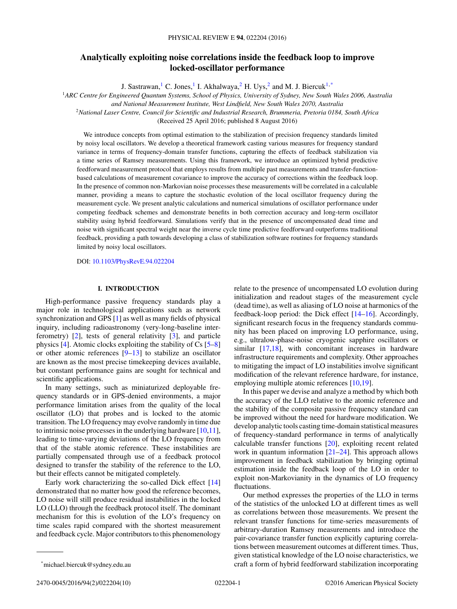# **Analytically exploiting noise correlations inside the feedback loop to improve locked-oscillator performance**

J. Sastrawan,<sup>1</sup> C. Jones,<sup>1</sup> I. Akhalwaya,<sup>2</sup> H. Uys,<sup>2</sup> and M. J. Biercuk<sup>1,\*</sup>

<sup>1</sup>*ARC Centre for Engineered Quantum Systems, School of Physics, University of Sydney, New South Wales 2006, Australia*

*and National Measurement Institute, West Lindfield, New South Wales 2070, Australia*

<sup>2</sup>*National Laser Centre, Council for Scientific and Industrial Research, Brummeria, Pretoria 0184, South Africa*

(Received 25 April 2016; published 8 August 2016)

We introduce concepts from optimal estimation to the stabilization of precision frequency standards limited by noisy local oscillators. We develop a theoretical framework casting various measures for frequency standard variance in terms of frequency-domain transfer functions, capturing the effects of feedback stabilization via a time series of Ramsey measurements. Using this framework, we introduce an optimized hybrid predictive feedforward measurement protocol that employs results from multiple past measurements and transfer-functionbased calculations of measurement covariance to improve the accuracy of corrections within the feedback loop. In the presence of common non-Markovian noise processes these measurements will be correlated in a calculable manner, providing a means to capture the stochastic evolution of the local oscillator frequency during the measurement cycle. We present analytic calculations and numerical simulations of oscillator performance under competing feedback schemes and demonstrate benefits in both correction accuracy and long-term oscillator stability using hybrid feedforward. Simulations verify that in the presence of uncompensated dead time and noise with significant spectral weight near the inverse cycle time predictive feedforward outperforms traditional feedback, providing a path towards developing a class of stabilization software routines for frequency standards limited by noisy local oscillators.

DOI: [10.1103/PhysRevE.94.022204](http://dx.doi.org/10.1103/PhysRevE.94.022204)

# **I. INTRODUCTION**

High-performance passive frequency standards play a major role in technological applications such as network synchronization and GPS [\[1\]](#page-9-0) as well as many fields of physical inquiry, including radioastronomy (very-long-baseline interferometry) [\[2\]](#page-9-0), tests of general relativity [\[3\]](#page-9-0), and particle physics [\[4\]](#page-9-0). Atomic clocks exploiting the stability of Cs [\[5–8\]](#page-9-0) or other atomic references  $[9-13]$  to stabilize an oscillator are known as the most precise timekeeping devices available, but constant performance gains are sought for technical and scientific applications.

In many settings, such as miniaturized deployable frequency standards or in GPS-denied environments, a major performance limitation arises from the quality of the local oscillator (LO) that probes and is locked to the atomic transition. The LO frequency may evolve randomly in time due to intrinsic noise processes in the underlying hardware [\[10,11\]](#page-9-0), leading to time-varying deviations of the LO frequency from that of the stable atomic reference. These instabilities are partially compensated through use of a feedback protocol designed to transfer the stability of the reference to the LO, but their effects cannot be mitigated completely.

Early work characterizing the so-called Dick effect [\[14\]](#page-9-0) demonstrated that no matter how good the reference becomes, LO noise will still produce residual instabilities in the locked LO (LLO) through the feedback protocol itself. The dominant mechanism for this is evolution of the LO's frequency on time scales rapid compared with the shortest measurement and feedback cycle. Major contributors to this phenomenology

relate to the presence of uncompensated LO evolution during initialization and readout stages of the measurement cycle (dead time), as well as aliasing of LO noise at harmonics of the feedback-loop period: the Dick effect [\[14–16\]](#page-9-0). Accordingly, significant research focus in the frequency standards community has been placed on improving LO performance, using, e.g., ultralow-phase-noise cryogenic sapphire oscillators or similar [\[17,18\]](#page-9-0), with concomitant increases in hardware infrastructure requirements and complexity. Other approaches to mitigating the impact of LO instabilities involve significant modification of the relevant reference hardware, for instance, employing multiple atomic references [\[10,19\]](#page-9-0).

In this paper we devise and analyze a method by which both the accuracy of the LLO relative to the atomic reference and the stability of the composite passive frequency standard can be improved without the need for hardware modification. We develop analytic tools casting time-domain statistical measures of frequency-standard performance in terms of analytically calculable transfer functions [\[20\]](#page-9-0), exploiting recent related work in quantum information [\[21–24\]](#page-9-0). This approach allows improvement in feedback stabilization by bringing optimal estimation inside the feedback loop of the LO in order to exploit non-Markovianity in the dynamics of LO frequency fluctuations.

Our method expresses the properties of the LLO in terms of the statistics of the unlocked LO at different times as well as correlations between those measurements. We present the relevant transfer functions for time-series measurements of arbitrary-duration Ramsey measurements and introduce the pair-covariance transfer function explicitly capturing correlations between measurement outcomes at different times. Thus, given statistical knowledge of the LO noise characteristics, we craft a form of hybrid feedforward stabilization incorporating

<sup>\*</sup>michael.biercuk@sydney.edu.au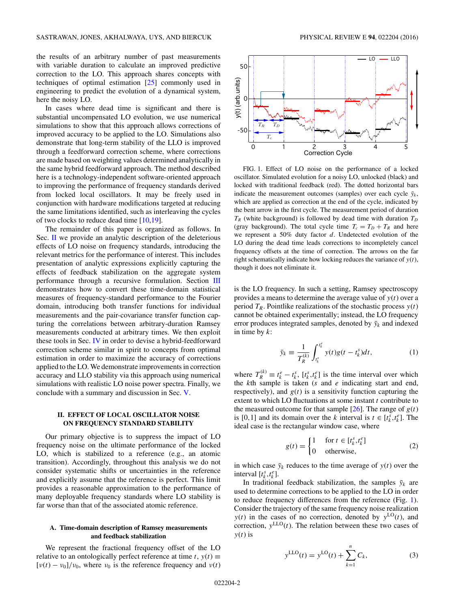<span id="page-1-0"></span>the results of an arbitrary number of past measurements with variable duration to calculate an improved predictive correction to the LO. This approach shares concepts with techniques of optimal estimation [\[25\]](#page-9-0) commonly used in engineering to predict the evolution of a dynamical system, here the noisy LO.

In cases where dead time is significant and there is substantial uncompensated LO evolution, we use numerical simulations to show that this approach allows corrections of improved accuracy to be applied to the LO. Simulations also demonstrate that long-term stability of the LLO is improved through a feedforward correction scheme, where corrections are made based on weighting values determined analytically in the same hybrid feedforward approach. The method described here is a technology-independent software-oriented approach to improving the performance of frequency standards derived from locked local oscillators. It may be freely used in conjunction with hardware modifications targeted at reducing the same limitations identified, such as interleaving the cycles of two clocks to reduce dead time [\[10,19\]](#page-9-0).

The remainder of this paper is organized as follows. In Sec. II we provide an analytic description of the deleterious effects of LO noise on frequency standards, introducing the relevant metrics for the performance of interest. This includes presentation of analytic expressions explicitly capturing the effects of feedback stabilization on the aggregate system performance through a recursive formulation. Section [III](#page-3-0) demonstrates how to convert these time-domain statistical measures of frequency-standard performance to the Fourier domain, introducing both transfer functions for individual measurements and the pair-covariance transfer function capturing the correlations between arbitrary-duration Ramsey measurements conducted at arbitrary times. We then exploit these tools in Sec. [IV](#page-4-0) in order to devise a hybrid-feedforward correction scheme similar in spirit to concepts from optimal estimation in order to maximize the accuracy of corrections applied to the LO. We demonstrate improvements in correction accuracy and LLO stability via this approach using numerical simulations with realistic LO noise power spectra. Finally, we conclude with a summary and discussion in Sec. [V.](#page-7-0)

# **II. EFFECT OF LOCAL OSCILLATOR NOISE ON FREQUENCY STANDARD STABILITY**

Our primary objective is to suppress the impact of LO frequency noise on the ultimate performance of the locked LO, which is stabilized to a reference (e.g., an atomic transition). Accordingly, throughout this analysis we do not consider systematic shifts or uncertainties in the reference and explicitly assume that the reference is perfect. This limit provides a reasonable approximation to the performance of many deployable frequency standards where LO stability is far worse than that of the associated atomic reference.

## **A. Time-domain description of Ramsey measurements and feedback stabilization**

We represent the fractional frequency offset of the LO relative to an ontologically perfect reference at time  $t$ ,  $y(t) \equiv$  $[v(t) - v_0]/v_0$ , where  $v_0$  is the reference frequency and  $v(t)$ 



FIG. 1. Effect of LO noise on the performance of a locked oscillator. Simulated evolution for a noisy LO, unlocked (black) and locked with traditional feedback (red). The dotted horizontal bars indicate the measurement outcomes (samples) over each cycle  $\bar{y}_k$ , which are applied as correction at the end of the cycle, indicated by the bent arrow in the first cycle. The measurement period of duration  $T_R$  (white background) is followed by dead time with duration  $T_D$ (gray background). The total cycle time  $T_c = T_D + T_R$  and here we represent a 50% duty factor *d*. Undetected evolution of the LO during the dead time leads corrections to incompletely cancel frequency offsets at the time of correction. The arrows on the far right schematically indicate how locking reduces the variance of *y*(*t*), though it does not eliminate it.

is the LO frequency. In such a setting, Ramsey spectroscopy provides a means to determine the average value of *y*(*t*) over a period  $T_R$ . Pointlike realizations of the stochastic process  $y(t)$ cannot be obtained experimentally; instead, the LO frequency error produces integrated samples, denoted by  $\bar{y}_k$  and indexed in time by *k*:

$$
\bar{y}_k \equiv \frac{1}{T_R^{(k)}} \int_{t_k^s}^{t_k^s} y(t)g(t - t_k^s)dt, \tag{1}
$$

where  $T_R^{(k)} \equiv t_k^e - t_k^s$ ,  $[t_k^s, t_k^e]$  is the time interval over which the *k*th sample is taken (*s* and *e* indicating start and end, respectively), and  $g(t)$  is a sensitivity function capturing the extent to which LO fluctuations at some instant *t* contribute to the measured outcome for that sample  $[26]$ . The range of  $g(t)$ is [0,1] and its domain over the *k* interval is  $t \in [t_k^s, t_k^e]$ . The ideal case is the rectangular window case, where

$$
g(t) = \begin{cases} 1 & \text{for } t \in [t_k^s, t_k^e] \\ 0 & \text{otherwise,} \end{cases}
$$
 (2)

in which case  $\bar{y}_k$  reduces to the time average of  $y(t)$  over the interval  $[t_k^s, t_k^e]$ .

In traditional feedback stabilization, the samples  $\bar{y}_k$  are used to determine corrections to be applied to the LO in order to reduce frequency differences from the reference (Fig. 1). Consider the trajectory of the same frequency noise realization  $y(t)$  in the cases of no correction, denoted by  $y^{LO}(t)$ , and correction,  $y^{\text{LLO}}(t)$ . The relation between these two cases of  $y(t)$  is

$$
y^{\text{LLO}}(t) = y^{\text{LO}}(t) + \sum_{k=1}^{n} C_k,
$$
 (3)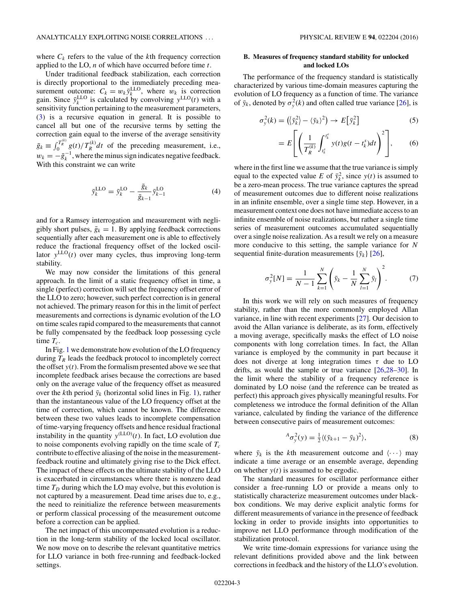<span id="page-2-0"></span>where  $C_k$  refers to the value of the  $k$ th frequency correction applied to the LO, *n* of which have occurred before time *t*.

Under traditional feedback stabilization, each correction is directly proportional to the immediately preceding measurement outcome:  $C_k = w_k \bar{y}_k^{\text{LLO}}$ , where  $w_k$  is correction gain. Since  $\bar{y}_k^{\text{LLO}}$  is calculated by convolving  $y^{\text{LLO}}(t)$  with a sensitivity function pertaining to the measurement parameters, [\(3\)](#page-1-0) is a recursive equation in general. It is possible to cancel all but one of the recursive terms by setting the correction gain equal to the inverse of the average sensitivity  $\bar{g}_k \equiv \int_0^{T_k^{(k)}} g(t)/T_R^{(k)} dt$  of the preceding measurement, i.e.,  $w_k = -\bar{g}_k^{-1}$ , where the minus sign indicates negative feedback. With this constraint we can write

$$
\bar{y}_k^{\text{LLO}} = \bar{y}_k^{\text{LO}} - \frac{\bar{g}_k}{\bar{g}_{k-1}} \bar{y}_{k-1}^{\text{LO}} \tag{4}
$$

and for a Ramsey interrogation and measurement with negligibly short pulses,  $\bar{g}_k = 1$ . By applying feedback corrections sequentially after each measurement one is able to effectively reduce the fractional frequency offset of the locked oscillator  $y^{\text{LLO}}(t)$  over many cycles, thus improving long-term stability.

We may now consider the limitations of this general approach. In the limit of a static frequency offset in time, a single (perfect) correction will set the frequency offset error of the LLO to zero; however, such perfect correction is in general not achieved. The primary reason for this in the limit of perfect measurements and corrections is dynamic evolution of the LO on time scales rapid compared to the measurements that cannot be fully compensated by the feedback loop possessing cycle time  $T_c$ .

In Fig. [1](#page-1-0) we demonstrate how evolution of the LO frequency during  $T_R$  leads the feedback protocol to incompletely correct the offset  $y(t)$ . From the formalism presented above we see that incomplete feedback arises because the corrections are based only on the average value of the frequency offset as measured over the *k*th period  $\bar{y}_k$  (horizontal solid lines in Fig. [1\)](#page-1-0), rather than the instantaneous value of the LO frequency offset at the time of correction, which cannot be known. The difference between these two values leads to incomplete compensation of time-varying frequency offsets and hence residual fractional instability in the quantity  $y^{(LLO)}(t)$ . In fact, LO evolution due to noise components evolving rapidly on the time scale of  $T_c$ contribute to effective aliasing of the noise in the measurementfeedback routine and ultimately giving rise to the Dick effect. The impact of these effects on the ultimate stability of the LLO is exacerbated in circumstances where there is nonzero dead time  $T_D$  during which the LO may evolve, but this evolution is not captured by a measurement. Dead time arises due to, e.g., the need to reinitialize the reference between measurements or perform classical processing of the measurement outcome before a correction can be applied.

The net impact of this uncompensated evolution is a reduction in the long-term stability of the locked local oscillator. We now move on to describe the relevant quantitative metrics for LLO variance in both free-running and feedback-locked settings.

## **B. Measures of frequency standard stability for unlocked and locked LOs**

The performance of the frequency standard is statistically characterized by various time-domain measures capturing the evolution of LO frequency as a function of time. The variance of  $\bar{y}_k$ , denoted by  $\sigma_y^2(k)$  and often called true variance [\[26\]](#page-9-0), is

$$
\sigma_{y}^{2}(k) = (\left\langle \bar{y}_{k}^{2} \right\rangle - \left\langle \bar{y}_{k} \right\rangle^{2}) \to E[\bar{y}_{k}^{2}]
$$
 (5)

$$
=E\left[\left(\frac{1}{T_{R}^{(k)}}\int_{t_{k}^{s}}^{t_{k}^{e}} y(t)g(t-t_{k}^{s})dt\right)^{2}\right],
$$
 (6)

where in the first line we assume that the true variance is simply equal to the expected value *E* of  $\bar{y}_k^2$ , since  $y(t)$  is assumed to be a zero-mean process. The true variance captures the spread of measurement outcomes due to different noise realizations in an infinite ensemble, over a single time step. However, in a measurement context one does not have immediate access to an infinite ensemble of noise realizations, but rather a single time series of measurement outcomes accumulated sequentially over a single noise realization. As a result we rely on a measure more conducive to this setting, the sample variance for *N* sequential finite-duration measurements  ${\bar{y}_k}$  [\[26\]](#page-9-0),

$$
\sigma_{y}^{2}[N] = \frac{1}{N-1} \sum_{k=1}^{N} \left( \bar{y}_{k} - \frac{1}{N} \sum_{l=1}^{N} \bar{y}_{l} \right)^{2}.
$$
 (7)

In this work we will rely on such measures of frequency stability, rather than the more commonly employed Allan variance, in line with recent experiments [\[27\]](#page-9-0). Our decision to avoid the Allan variance is deliberate, as its form, effectively a moving average, specifically masks the effect of LO noise components with long correlation times. In fact, the Allan variance is employed by the community in part because it does not diverge at long integration times *τ* due to LO drifts, as would the sample or true variance [\[26,28–30\]](#page-9-0). In the limit where the stability of a frequency reference is dominated by LO noise (and the reference can be treated as perfect) this approach gives physically meaningful results. For completeness we introduce the formal definition of the Allan variance, calculated by finding the variance of the difference between consecutive pairs of measurement outcomes:

$$
{}^{A}\sigma_{y}^{2}(y) = \frac{1}{2}\langle (\bar{y}_{k+1} - \bar{y}_{k})^{2} \rangle, \tag{8}
$$

where  $\bar{y}_k$  is the *k*th measurement outcome and  $\langle \cdots \rangle$  may indicate a time average or an ensemble average, depending on whether  $y(t)$  is assumed to be ergodic.

The standard measures for oscillator performance either consider a free-running LO or provide a means only to statistically characterize measurement outcomes under blackbox conditions. We may derive explicit analytic forms for different measurements of variance in the presence of feedback locking in order to provide insights into opportunities to improve net LLO performance through modification of the stabilization protocol.

We write time-domain expressions for variance using the relevant definitions provided above and the link between corrections in feedback and the history of the LLO's evolution.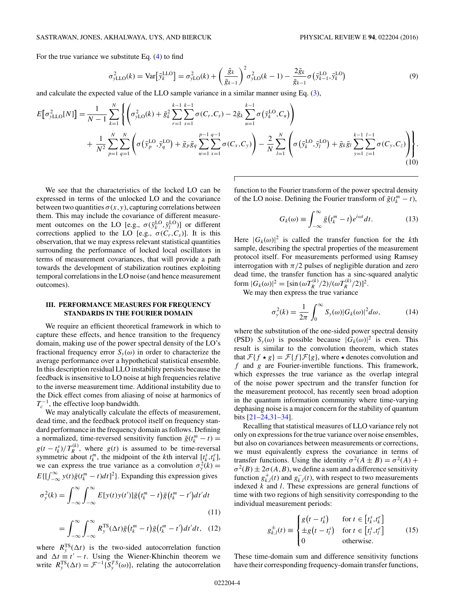<span id="page-3-0"></span>For the true variance we substitute Eq.  $(4)$  to find

$$
\sigma_{\text{yLLO}}^2(k) = \text{Var}\big[\bar{\mathbf{y}}_k^{\text{LLO}}\big] = \sigma_{\text{yLO}}^2(k) + \left(\frac{\bar{g}_k}{\bar{g}_{k-1}}\right)^2 \sigma_{\text{yLO}}^2(k-1) - \frac{2\bar{g}_k}{\bar{g}_{k-1}} \sigma\big(\bar{\mathbf{y}}_{k-1}^{\text{LO}}, \bar{\mathbf{y}}_k^{\text{LO}}\big) \tag{9}
$$

and calculate the expected value of the LLO sample variance in a similar manner using Eq. [\(3\)](#page-1-0),

$$
E[\sigma_{yLLO}^{2}[N]] = \frac{1}{N-1} \sum_{k=1}^{N} \left\{ \left( \sigma_{yLO}^{2}(k) + \bar{g}_{k}^{2} \sum_{r=1}^{k-1} \sum_{s=1}^{k-1} \sigma(C_{r}, C_{s}) - 2\bar{g}_{k} \sum_{u=1}^{k-1} \sigma(\bar{y}_{k}^{LO}, C_{u}) \right) + \frac{1}{N^{2}} \sum_{p=1}^{N} \sum_{q=1}^{N} \left( \sigma(\bar{y}_{p}^{LO}, \bar{y}_{q}^{LO}) + \bar{g}_{p} \bar{g}_{q} \sum_{w=1}^{p-1} \sum_{x=1}^{q-1} \sigma(C_{x}, C_{y}) \right) - \frac{2}{N} \sum_{l=1}^{N} \left( \sigma(\bar{y}_{k}^{LO}, \bar{y}_{l}^{LO}) + \bar{g}_{k} \bar{g}_{l} \sum_{y=1}^{k-1} \sum_{z=1}^{l-1} \sigma(C_{y}, C_{z}) \right) \right\}.
$$
\n
$$
(10)
$$

We see that the characteristics of the locked LO can be expressed in terms of the unlocked LO and the covariance between two quantities  $\sigma(x, y)$ , capturing correlations between them. This may include the covariance of different measurement outcomes on the LO [e.g.,  $\sigma(\bar{y}_k^{\text{LO}}, \bar{y}_l^{\text{LO}})$ ] or different corrections applied to the LO [e.g.,  $\sigma(C_r, C_s)$ ]. It is this observation, that we may express relevant statistical quantities surrounding the performance of locked local oscillators in terms of measurement covariances, that will provide a path towards the development of stabilization routines exploiting temporal correlations in the LO noise (and hence measurement outcomes).

## **III. PERFORMANCE MEASURES FOR FREQUENCY STANDARDS IN THE FOURIER DOMAIN**

We require an efficient theoretical framework in which to capture these effects, and hence transition to the frequency domain, making use of the power spectral density of the LO's fractional frequency error  $S_y(\omega)$  in order to characterize the average performance over a hypothetical statistical ensemble. In this description residual LLO instability persists because the feedback is insensitive to LO noise at high frequencies relative to the inverse measurement time. Additional instability due to the Dick effect comes from aliasing of noise at harmonics of  $T_c^{-1}$ , the effective loop bandwidth.

We may analytically calculate the effects of measurement, dead time, and the feedback protocol itself on frequency standard performance in the frequency domain as follows. Defining a normalized, time-reversed sensitivity function  $\bar{g}(t_k^m - t)$  =  $g(t - t_k^s)/T_R^{(k)}$ , where  $g(t)$  is assumed to be time-reversal symmetric about  $t_k^m$ , the midpoint of the *k*th interval  $[t_k^s, t_k^e]$ , we can express the true variance as a convolution  $\sigma_y^2(k)$  =  $E\left\{\left[\int_{-\infty}^{\infty} y(t)\bar{g}(t_k^m - t)dt\right]^2\right\}$ . Expanding this expression gives

$$
\sigma_y^2(k) = \int_{-\infty}^{\infty} \int_{-\infty}^{\infty} E[y(t)y(t')] \bar{g}(t_k^m - t) \bar{g}(t_k^m - t') dt' dt
$$
\n(11)

$$
= \int_{-\infty}^{\infty} \int_{-\infty}^{\infty} R_y^{\text{TS}}(\Delta t) \bar{g} \left( t_k^m - t \right) \bar{g} \left( t_k^m - t' \right) dt' dt, \quad (12)
$$

where  $R_y^{\text{TS}}(\Delta t)$  is the two-sided autocorrelation function and  $\Delta t \equiv t' - t$ . Using the Wiener-Khinchin theorem we write  $R_y^{\text{TS}}(\Delta t) = \mathcal{F}^{-1}{S_y^{\text{TS}}(\omega)}$ , relating the autocorrelation function to the Fourier transform of the power spectral density of the LO noise. Defining the Fourier transform of  $\bar{g}(t_k^m - t)$ ,

$$
G_k(\omega) \equiv \int_{-\infty}^{\infty} \bar{g} \left( t_k^m - t \right) e^{i\omega t} dt. \tag{13}
$$

Here  $|G_k(\omega)|^2$  is called the transfer function for the *k*th sample, describing the spectral properties of the measurement protocol itself. For measurements performed using Ramsey interrogation with  $\pi/2$  pulses of negligible duration and zero dead time, the transfer function has a sinc-squared analytic form  $|G_k(\omega)|^2 = \frac{\sin(\omega T_R^{(k)}/2)}{(\omega T_R^{(k)}/2)^2}.$ 

We may then express the true variance

$$
\sigma_y^2(k) = \frac{1}{2\pi} \int_0^\infty S_y(\omega) |G_k(\omega)|^2 d\omega, \tag{14}
$$

where the substitution of the one-sided power spectral density (PSD)  $S_y(\omega)$  is possible because  $|G_k(\omega)|^2$  is even. This result is similar to the convolution theorem, which states that  $\mathcal{F}{f \star g} = \mathcal{F}{f}\mathcal{F}{g}$ , where  $\star$  denotes convolution and *f* and *g* are Fourier-invertible functions. This framework, which expresses the true variance as the overlap integral of the noise power spectrum and the transfer function for the measurement protocol, has recently seen broad adoption in the quantum information community where time-varying dephasing noise is a major concern for the stability of quantum bits [\[21–24,31–34\]](#page-9-0).

Recalling that statistical measures of LLO variance rely not only on expressions for the true variance over noise ensembles, but also on covariances between measurements or corrections, we must equivalently express the covariance in terms of transfer functions. Using the identity  $\sigma^2(A \pm B) = \sigma^2(A) +$  $\sigma^2(B) \pm 2\sigma(A,B)$ , we define a sum and a difference sensitivity function  $g_{k,l}^+(t)$  and  $g_{k,l}^-(t)$ , with respect to two measurements indexed *k* and *l*. These expressions are general functions of time with two regions of high sensitivity corresponding to the individual measurement periods:

$$
g_{k,l}^{\pm}(t) \equiv \begin{cases} g\left(t - t_k^s\right) & \text{for } t \in \left[t_k^s, t_k^e\right] \\ \pm g\left(t - t_l^s\right) & \text{for } t \in \left[t_l^s, t_l^e\right] \\ 0 & \text{otherwise.} \end{cases} \tag{15}
$$

These time-domain sum and difference sensitivity functions have their corresponding frequency-domain transfer functions,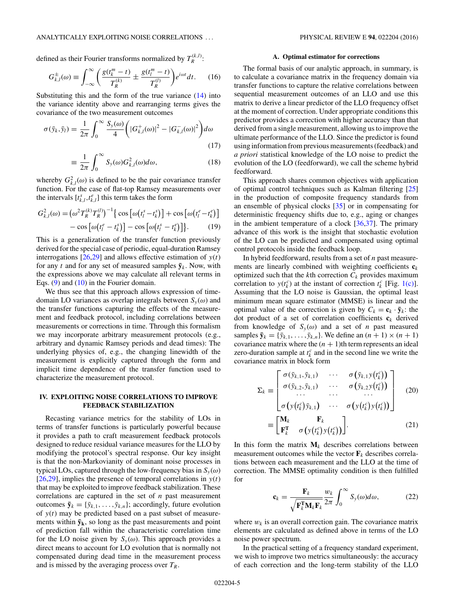<span id="page-4-0"></span>defined as their Fourier transforms normalized by  $T_R^{(k,l)}$ :

$$
G_{k,l}^{\pm}(\omega) \equiv \int_{-\infty}^{\infty} \left( \frac{g(t_k^m - t)}{T_R^{(k)}} \pm \frac{g(t_l^m - t)}{T_R^{(l)}} \right) e^{i\omega t} dt. \tag{16}
$$

Substituting this and the form of the true variance  $(14)$  into the variance identity above and rearranging terms gives the covariance of the two measurement outcomes

$$
\sigma(\bar{y}_k, \bar{y}_l) = \frac{1}{2\pi} \int_0^\infty \frac{S_y(\omega)}{4} \left( |G_{k,l}^+(\omega)|^2 - |G_{k,l}^-(\omega)|^2 \right) d\omega \tag{17}
$$

$$
\equiv \frac{1}{2\pi} \int_0^\infty S_y(\omega) G_{k,l}^2(\omega) d\omega, \tag{18}
$$

whereby  $G_{k,l}^2(\omega)$  is defined to be the pair covariance transfer function. For the case of flat-top Ramsey measurements over the intervals  $[t_{k,l}^s, t_{k,l}^e]$  this term takes the form

$$
G_{k,l}^2(\omega) = \left(\omega^2 T_R^{(k)} T_R^{(l)}\right)^{-1} \left\{ \cos \left[\omega \left(t_l^s - t_k^s\right)\right] + \cos \left[\omega \left(t_l^e - t_k^e\right)\right] - \cos \left[\omega \left(t_l^e - t_k^s\right)\right] - \cos \left[\omega \left(t_l^s - t_k^e\right)\right] \right\}.
$$
 (19)

This is a generalization of the transfer function previously derived for the special case of periodic, equal-duration Ramsey interrogations  $[26,29]$  and allows effective estimation of  $y(t)$ for any *t* and for any set of measured samples  $\bar{y}_k$ . Now, with the expressions above we may calculate all relevant terms in Eqs. [\(9\)](#page-3-0) and [\(10\)](#page-3-0) in the Fourier domain.

We thus see that this approach allows expression of timedomain LO variances as overlap integrals between  $S_y(\omega)$  and the transfer functions capturing the effects of the measurement and feedback protocol, including correlations between measurements or corrections in time. Through this formalism we may incorporate arbitrary measurement protocols (e.g., arbitrary and dynamic Ramsey periods and dead times): The underlying physics of, e.g., the changing linewidth of the measurement is explicitly captured through the form and implicit time dependence of the transfer function used to characterize the measurement protocol.

### **IV. EXPLOITING NOISE CORRELATIONS TO IMPROVE FEEDBACK STABILIZATION**

Recasting variance metrics for the stability of LOs in terms of transfer functions is particularly powerful because it provides a path to craft measurement feedback protocols designed to reduce residual variance measures for the LLO by modifying the protocol's spectral response. Our key insight is that the non-Markovianity of dominant noise processes in typical LOs, captured through the low-frequency bias in  $S_\nu(\omega)$ [\[26,29\]](#page-9-0), implies the presence of temporal correlations in  $y(t)$ that may be exploited to improve feedback stabilization. These correlations are captured in the set of *n* past measurement outcomes  $\bar{\mathbf{y}}_k = {\{\bar{y}_{k,1}, \ldots, \bar{y}_{k,n}\}}$ ; accordingly, future evolution of *y*(*t*) may be predicted based on a past subset of measurements within  $\bar{y}_k$ , so long as the past measurements and point of prediction fall within the characteristic correlation time for the LO noise given by  $S_y(\omega)$ . This approach provides a direct means to account for LO evolution that is normally not compensated during dead time in the measurement process and is missed by the averaging process over  $T_R$ .

#### **A. Optimal estimator for corrections**

The formal basis of our analytic approach, in summary, is to calculate a covariance matrix in the frequency domain via transfer functions to capture the relative correlations between sequential measurement outcomes of an LLO and use this matrix to derive a linear predictor of the LLO frequency offset at the moment of correction. Under appropriate conditions this predictor provides a correction with higher accuracy than that derived from a single measurement, allowing us to improve the ultimate performance of the LLO. Since the predictor is found using information from previous measurements (feedback) and *a priori* statistical knowledge of the LO noise to predict the evolution of the LO (feedforward), we call the scheme hybrid feedforward.

This approach shares common objectives with application of optimal control techniques such as Kalman filtering [\[25\]](#page-9-0) in the production of composite frequency standards from an ensemble of physical clocks [\[35\]](#page-9-0) or in compensating for deterministic frequency shifts due to, e.g., aging or changes in the ambient temperature of a clock  $[36,37]$ . The primary advance of this work is the insight that stochastic evolution of the LO can be predicted and compensated using optimal control protocols inside the feedback loop.

In hybrid feedforward, results from a set of *n* past measurements are linearly combined with weighting coefficients  $\mathbf{c}_k$ optimized such that the  $k$ th correction  $C_k$  provides maximum correlation to  $y(t_k^c)$  at the instant of correction  $t_k^c$  [Fig. [1\(c\)\]](#page-1-0). Assuming that the LO noise is Gaussian, the optimal least minimum mean square estimator (MMSE) is linear and the optimal value of the correction is given by  $C_k = \mathbf{c}_k \cdot \bar{\mathbf{y}}_k$ : the dot product of a set of correlation coefficients  $c_k$  derived from knowledge of  $S_y(\omega)$  and a set of *n* past measured samples  $\bar{\mathbf{y}}_k = {\{\bar{y}_{k,1}, \ldots, \bar{y}_{k,n}\}}$ . We define an  $(n + 1) \times (n + 1)$ covariance matrix where the  $(n + 1)$ th term represents an ideal zero-duration sample at  $t_k^c$  and in the second line we write the covariance matrix in block form

$$
\Sigma_{k} \equiv \begin{bmatrix}\n\sigma(\bar{y}_{k,1}, \bar{y}_{k,1}) & \cdots & \sigma(\bar{y}_{k,1} y(t_{k}^{c})) \\
\sigma(\bar{y}_{k,2}, \bar{y}_{k,1}) & \cdots & \sigma(\bar{y}_{k,2} y(t_{k}^{c})) \\
\vdots & \vdots & \ddots & \vdots \\
\sigma(y(t_{k}^{c}) \bar{y}_{k,1}) & \cdots & \sigma(y(t_{k}^{c}) y(t_{k}^{c}))\n\end{bmatrix}
$$
\n
$$
\equiv \begin{bmatrix}\n\mathbf{M}_{k} & \mathbf{F}_{k} \\
\mathbf{F}_{k}^{T} & \sigma(y(t_{k}^{c}) y(t_{k}^{c}))\n\end{bmatrix}.
$$
\n(21)

In this form the matrix  $M_k$  describes correlations between measurement outcomes while the vector  $\mathbf{F}_k$  describes correlations between each measurement and the LLO at the time of correction. The MMSE optimality condition is then fulfilled for

$$
\mathbf{c}_k = \frac{\mathbf{F}_k}{\sqrt{\mathbf{F}_k^{\mathsf{T}} \mathbf{M}_k \mathbf{F}_k}} \frac{w_k}{2\pi} \int_0^\infty S_y(\omega) d\omega, \tag{22}
$$

where  $w_k$  is an overall correction gain. The covariance matrix elements are calculated as defined above in terms of the LO noise power spectrum.

In the practical setting of a frequency standard experiment, we wish to improve two metrics simultaneously: the accuracy of each correction and the long-term stability of the LLO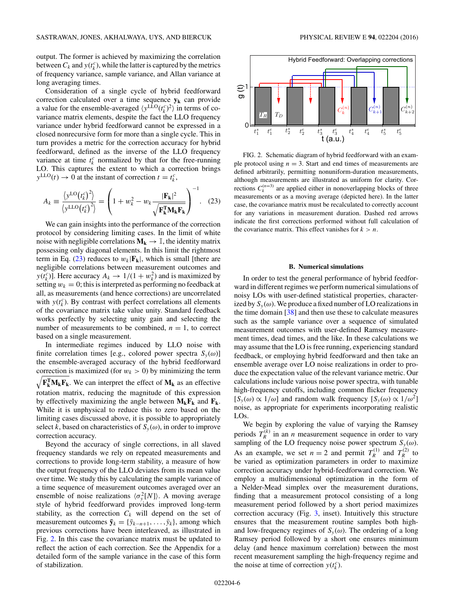output. The former is achieved by maximizing the correlation between  $C_k$  and  $y(t_k^c)$ , while the latter is captured by the metrics of frequency variance, sample variance, and Allan variance at long averaging times.

Consideration of a single cycle of hybrid feedforward correction calculated over a time sequence  $y_k$  can provide a value for the ensemble-averaged  $\langle y^{\text{LLO}}(t_k^c)^2 \rangle$  in terms of covariance matrix elements, despite the fact the LLO frequency variance under hybrid feedforward cannot be expressed in a closed nonrecursive form for more than a single cycle. This in turn provides a metric for the correction accuracy for hybrid feedforward, defined as the inverse of the LLO frequency variance at time  $t_k^c$  normalized by that for the free-running LO. This captures the extent to which a correction brings  $y^{\text{LLO}}(t) \rightarrow 0$  at the instant of correction  $t = t_k^c$ ,

$$
A_k \equiv \frac{\langle y^{LO}(t_k^c)^2 \rangle}{\langle y^{LO}(t_k^c)^2 \rangle} = \left(1 + w_k^2 - w_k \frac{|\mathbf{F_k}|^2}{\sqrt{\mathbf{F_k^T} \mathbf{M_k} \mathbf{F_k}}}\right)^{-1}.
$$
 (23)

We can gain insights into the performance of the correction protocol by considering limiting cases. In the limit of white noise with negligible correlations  $M_k \to \mathbb{I}$ , the identity matrix possessing only diagonal elements. In this limit the rightmost term in Eq. (23) reduces to  $w_k|\mathbf{F_k}$ , which is small [there are negligible correlations between measurement outcomes and *y*( $t_k^c$ )]. Here accuracy  $A_k \to 1/(1 + w_k^2)$  and is maximized by setting  $w_k = 0$ ; this is interpreted as performing no feedback at all, as measurements (and hence corrections) are uncorrelated with  $y(t_k^c)$ . By contrast with perfect correlations all elements of the covariance matrix take value unity. Standard feedback works perfectly by selecting unity gain and selecting the number of measurements to be combined,  $n = 1$ , to correct based on a single measurement.

In intermediate regimes induced by LLO noise with finite correlation times [e.g., colored power spectra  $S_y(\omega)$ ] the ensemble-averaged accuracy of the hybrid feedforward correction is maximized (for  $w_k > 0$ ) by minimizing the term  $\sqrt{\mathbf{F}_{\mathbf{k}}^{\mathbf{T}} \mathbf{M}_{\mathbf{k}} \mathbf{F}_{\mathbf{k}}}$ . We can interpret the effect of  $\mathbf{M}_{\mathbf{k}}$  as an effective rotation matrix, reducing the magnitude of this expression by effectively maximizing the angle between  $M_kF_k$  and  $F_k$ . While it is unphysical to reduce this to zero based on the limiting cases discussed above, it is possible to appropriately select *k*, based on characteristics of  $S_\nu(\omega)$ , in order to improve correction accuracy.

Beyond the accuracy of single corrections, in all slaved frequency standards we rely on repeated measurements and corrections to provide long-term stability, a measure of how the output frequency of the LLO deviates from its mean value over time. We study this by calculating the sample variance of a time sequence of measurement outcomes averaged over an ensemble of noise realizations  $\langle \sigma_y^2[N] \rangle$ . A moving average style of hybrid feedforward provides improved long-term stability, as the correction  $C_k$  will depend on the set of measurement outcomes  $\bar{\mathbf{y}}_k = {\{\bar{y}_{k-n+1}, \ldots, \bar{y}_k\}}$ , among which previous corrections have been interleaved, as illustrated in Fig. 2. In this case the covariance matrix must be updated to reflect the action of each correction. See the Appendix for a detailed form of the sample variance in the case of this form of stabilization.



FIG. 2. Schematic diagram of hybrid feedforward with an example protocol using  $n = 3$ . Start and end times of measurements are defined arbitrarily, permitting nonuniform-duration measurements, although measurements are illustrated as uniform for clarity. Corrections  $C_k^{(n=3)}$  are applied either in nonoverlapping blocks of three measurements or as a moving average (depicted here). In the latter case, the covariance matrix must be recalculated to correctly account for any variations in measurement duration. Dashed red arrows indicate the first corrections performed without full calculation of the covariance matrix. This effect vanishes for  $k > n$ .

#### **B. Numerical simulations**

In order to test the general performance of hybrid feedforward in different regimes we perform numerical simulations of noisy LOs with user-defined statistical properties, characterized by  $S_v(\omega)$ . We produce a fixed number of LO realizations in the time domain  $\left[38\right]$  and then use these to calculate measures such as the sample variance over a sequence of simulated measurement outcomes with user-defined Ramsey measurement times, dead times, and the like. In these calculations we may assume that the LO is free running, experiencing standard feedback, or employing hybrid feedforward and then take an ensemble average over LO noise realizations in order to produce the expectation value of the relevant variance metric. Our calculations include various noise power spectra, with tunable high-frequency cutoffs, including common flicker frequency  $[S_y(\omega) \propto 1/\omega]$  and random walk frequency  $[S_y(\omega) \propto 1/\omega^2]$ noise, as appropriate for experiments incorporating realistic LOs.

We begin by exploring the value of varying the Ramsey periods  $T_R^{(k)}$  in an *n* measurement sequence in order to vary sampling of the LO frequency noise power spectrum  $S_y(\omega)$ . As an example, we set  $n = 2$  and permit  $T_R^{(1)}$  and  $T_R^{(2)}$  to be varied as optimization parameters in order to maximize correction accuracy under hybrid-feedforward correction. We employ a multidimensional optimization in the form of a Nelder-Mead simplex over the measurement durations, finding that a measurement protocol consisting of a long measurement period followed by a short period maximizes correction accuracy (Fig. [3,](#page-6-0) inset). Intuitively this structure ensures that the measurement routine samples both highand low-frequency regimes of  $S_y(\omega)$ . The ordering of a long Ramsey period followed by a short one ensures minimum delay (and hence maximum correlation) between the most recent measurement sampling the high-frequency regime and the noise at time of correction  $y(t_k^c)$ .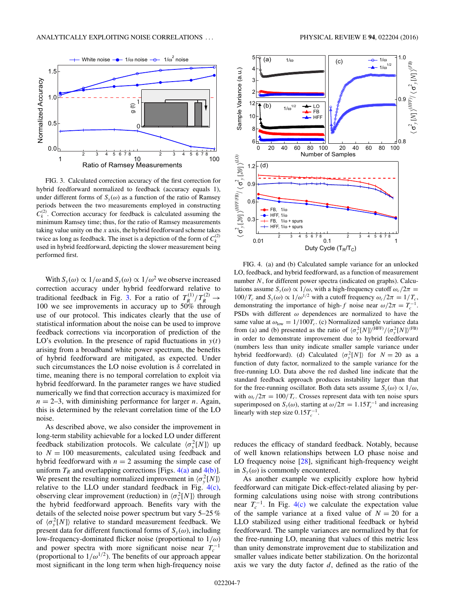<span id="page-6-0"></span>

FIG. 3. Calculated correction accuracy of the first correction for hybrid feedforward normalized to feedback (accuracy equals 1), under different forms of  $S_y(\omega)$  as a function of the ratio of Ramsey periods between the two measurements employed in constructing  $C_k^{(2)}$ . Correction accuracy for feedback is calculated assuming the minimum Ramsey time; thus, for the ratio of Ramsey measurements taking value unity on the *x* axis, the hybrid feedforward scheme takes twice as long as feedback. The inset is a depiction of the form of  $C_k^{(2)}$ used in hybrid feedforward, depicting the slower measurement being performed first.

With  $S_y(\omega) \propto 1/\omega$  and  $S_y(\omega) \propto 1/\omega^2$  we observe increased correction accuracy under hybrid feedforward relative to traditional feedback in Fig. 3. For a ratio of  $T_R^{(1)}/T_R^{(2)} \rightarrow$ 100 we see improvements in accuracy up to 50% through use of our protocol. This indicates clearly that the use of statistical information about the noise can be used to improve feedback corrections via incorporation of prediction of the LO's evolution. In the presence of rapid fluctuations in  $y(t)$ arising from a broadband white power spectrum, the benefits of hybrid feedforward are mitigated, as expected. Under such circumstances the LO noise evolution is *δ* correlated in time, meaning there is no temporal correlation to exploit via hybrid feedforward. In the parameter ranges we have studied numerically we find that correction accuracy is maximized for  $n = 2-3$ , with diminishing performance for larger *n*. Again, this is determined by the relevant correlation time of the LO noise.

As described above, we also consider the improvement in long-term stability achievable for a locked LO under different feedback stabilization protocols. We calculate  $\langle \sigma_y^2[N] \rangle$  up to  $N = 100$  measurements, calculated using feedback and hybrid feedforward with  $n = 2$  assuming the simple case of uniform  $T_R$  and overlapping corrections [Figs.  $4(a)$  and  $4(b)$ ]. We present the resulting normalized improvement in  $\langle \sigma_y^2[N] \rangle$ relative to the LLO under standard feedback in Fig.  $4(c)$ , observing clear improvement (reduction) in  $\langle \sigma_y^2[N] \rangle$  through the hybrid feedforward approach. Benefits vary with the details of the selected noise power spectrum but vary 5–25 % of  $\langle \sigma_y^2[N] \rangle$  relative to standard measurement feedback. We present data for different functional forms of  $S_\nu(\omega)$ , including low-frequency-dominated flicker noise (proportional to 1*/ω*) and power spectra with more significant noise near  $T_c^{-1}$ (proportional to  $1/\omega^{1/2}$ ). The benefits of our approach appear most significant in the long term when high-frequency noise



FIG. 4. (a) and (b) Calculated sample variance for an unlocked LO, feedback, and hybrid feedforward, as a function of measurement number *N*, for different power spectra (indicated on graphs). Calculations assume  $S_y(\omega) \propto 1/\omega$ , with a high-frequency cutoff  $\omega_c/2\pi$  =  $100/T_c$  and  $S_y(\omega) \propto 1/\omega^{1/2}$  with a cutoff frequency  $\omega_c/2\pi = 1/T_c$ , demonstrating the importance of high-*f* noise near  $\omega/2\pi = T_c^{-1}$ . PSDs with different *ω* dependences are normalized to have the same value at  $\omega_{\text{low}} = 1/100T_c$ . (c) Normalized sample variance data from (a) and (b) presented as the ratio of  $\langle \sigma_y^2[N]\rangle^{\text{(HFF)}} / \langle \sigma_y^2[N]\rangle^{\text{(FB)}}$ in order to demonstrate improvement due to hybrid feedforward (numbers less than unity indicate smaller sample variance under hybrid feedforward). (d) Calculated  $\langle \sigma_y^2[N] \rangle$  for  $N = 20$  as a function of duty factor, normalized to the sample variance for the free-running LO. Data above the red dashed line indicate that the standard feedback approach produces instability larger than that for the free-running oscillator. Both data sets assume  $S_y(\omega) \propto 1/\omega$ , with  $\omega_c/2\pi = 100/T_c$ . Crosses represent data with ten noise spurs superimposed on  $S_y(\omega)$ , starting at  $\omega/2\pi = 1.15T_c^{-1}$  and increasing linearly with step size  $0.15T_c^{-1}$ .

reduces the efficacy of standard feedback. Notably, because of well known relationships between LO phase noise and LO frequency noise [\[28\]](#page-9-0), significant high-frequency weight in  $S_y(\omega)$  is commonly encountered.

As another example we explicitly explore how hybrid feedforward can mitigate Dick-effect-related aliasing by performing calculations using noise with strong contributions near  $T_c^{-1}$ . In Fig. 4(c) we calculate the expectation value of the sample variance at a fixed value of  $N = 20$  for a LLO stabilized using either traditional feedback or hybrid feedforward. The sample variances are normalized by that for the free-running LO, meaning that values of this metric less than unity demonstrate improvement due to stabilization and smaller values indicate better stabilization. On the horizontal axis we vary the duty factor *d*, defined as the ratio of the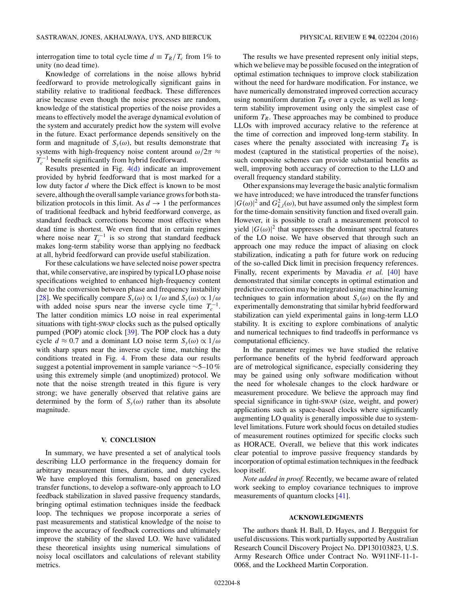<span id="page-7-0"></span>interrogation time to total cycle time  $d \equiv T_R/T_c$  from 1% to unity (no dead time).

Knowledge of correlations in the noise allows hybrid feedforward to provide metrologically significant gains in stability relative to traditional feedback. These differences arise because even though the noise processes are random, knowledge of the statistical properties of the noise provides a means to effectively model the average dynamical evolution of the system and accurately predict how the system will evolve in the future. Exact performance depends sensitively on the form and magnitude of  $S_y(\omega)$ , but results demonstrate that systems with high-frequency noise content around  $\omega/2\pi \approx$  $T_c^{-1}$  benefit significantly from hybrid feedforward.

Results presented in Fig. [4\(d\)](#page-6-0) indicate an improvement provided by hybrid feedforward that is most marked for a low duty factor *d* where the Dick effect is known to be most severe, although the overall sample variance grows for both stabilization protocols in this limit. As  $d \rightarrow 1$  the performances of traditional feedback and hybrid feedforward converge, as standard feedback corrections become most effective when dead time is shortest. We even find that in certain regimes where noise near  $T_c^{-1}$  is so strong that standard feedback makes long-term stability worse than applying no feedback at all, hybrid feedforward can provide useful stabilization.

For these calculations we have selected noise power spectra that, while conservative, are inspired by typical LO phase noise specifications weighted to enhanced high-frequency content due to the conversion between phase and frequency instability [\[28\]](#page-9-0). We specifically compare  $S_y(\omega) \propto 1/\omega$  and  $S_y(\omega) \propto 1/\omega$ with added noise spurs near the inverse cycle time  $T_c^{-1}$ . The latter condition mimics LO noise in real experimental situations with tight-SWAP clocks such as the pulsed optically pumped (POP) atomic clock [\[39\]](#page-9-0). The POP clock has a duty cycle  $d \approx 0.7$  and a dominant LO noise term  $S_y(\omega) \propto 1/\omega$ with sharp spurs near the inverse cycle time, matching the conditions treated in Fig. [4.](#page-6-0) From these data our results suggest a potential improvement in sample variance ∼5–10 % using this extremely simple (and unoptimized) protocol. We note that the noise strength treated in this figure is very strong; we have generally observed that relative gains are determined by the form of  $S_y(\omega)$  rather than its absolute magnitude.

#### **V. CONCLUSION**

In summary, we have presented a set of analytical tools describing LLO performance in the frequency domain for arbitrary measurement times, durations, and duty cycles. We have employed this formalism, based on generalized transfer functions, to develop a software-only approach to LO feedback stabilization in slaved passive frequency standards, bringing optimal estimation techniques inside the feedback loop. The techniques we propose incorporate a series of past measurements and statistical knowledge of the noise to improve the accuracy of feedback corrections and ultimately improve the stability of the slaved LO. We have validated these theoretical insights using numerical simulations of noisy local oscillators and calculations of relevant stability metrics.

The results we have presented represent only initial steps, which we believe may be possible focused on the integration of optimal estimation techniques to improve clock stabilization without the need for hardware modification. For instance, we have numerically demonstrated improved correction accuracy using nonuniform duration  $T_R$  over a cycle, as well as longterm stability improvement using only the simplest case of uniform  $T_R$ . These approaches may be combined to produce LLOs with improved accuracy relative to the reference at the time of correction and improved long-term stability. In cases where the penalty associated with increasing  $T_R$  is modest (captured in the statistical properties of the noise), such composite schemes can provide substantial benefits as well, improving both accuracy of correction to the LLO and overall frequency standard stability.

Other expansions may leverage the basic analytic formalism we have introduced; we have introduced the transfer functions  $|G(\omega)|^2$  and  $G_{k,l}^2(\omega)$ , but have assumed only the simplest form for the time-domain sensitivity function and fixed overall gain. However, it is possible to craft a measurement protocol to yield  $|G(\omega)|^2$  that suppresses the dominant spectral features of the LO noise. We have observed that through such an approach one may reduce the impact of aliasing on clock stabilization, indicating a path for future work on reducing of the so-called Dick limit in precision frequency references. Finally, recent experiments by Mavadia *et al.* [\[40\]](#page-9-0) have demonstrated that similar concepts in optimal estimation and predictive correction may be integrated using machine learning techniques to gain information about  $S_y(\omega)$  on the fly and experimentally demonstrating that similar hybrid feedforward stabilization can yield experimental gains in long-term LLO stability. It is exciting to explore combinations of analytic and numerical techniques to find tradeoffs in performance vs computational efficiency.

In the parameter regimes we have studied the relative performance benefits of the hybrid feedforward approach are of metrological significance, especially considering they may be gained using only software modification without the need for wholesale changes to the clock hardware or measurement procedure. We believe the approach may find special significance in tight-SWAP (size, weight, and power) applications such as space-based clocks where significantly augmenting LO quality is generally impossible due to systemlevel limitations. Future work should focus on detailed studies of measurement routines optimized for specific clocks such as HORACE. Overall, we believe that this work indicates clear potential to improve passive frequency standards by incorporation of optimal estimation techniques in the feedback loop itself.

*Note added in proof.* Recently, we became aware of related work seeking to employ covariance techniques to improve measurements of quantum clocks [\[41\]](#page-9-0).

#### **ACKNOWLEDGMENTS**

The authors thank H. Ball, D. Hayes, and J. Bergquist for useful discussions. This work partially supported by Australian Research Council Discovery Project No. DP130103823, U.S. Army Research Office under Contract No. W911NF-11-1- 0068, and the Lockheed Martin Corporation.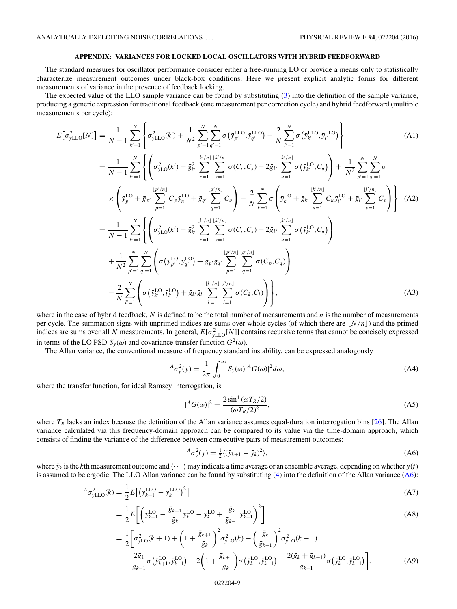#### **APPENDIX: VARIANCES FOR LOCKED LOCAL OSCILLATORS WITH HYBRID FEEDFORWARD**

The standard measures for oscillator performance consider either a free-running LO or provide a means only to statistically characterize measurement outcomes under black-box conditions. Here we present explicit analytic forms for different measurements of variance in the presence of feedback locking.

The expected value of the LLO sample variance can be found by substituting [\(3\)](#page-1-0) into the definition of the sample variance, producing a generic expression for traditional feedback (one measurement per correction cycle) and hybrid feedforward (multiple measurements per cycle):

$$
E[\sigma_{yLLO}^2[N]] = \frac{1}{N-1} \sum_{k'=1}^N \left\{ \sigma_{yLLO}^2(k') + \frac{1}{N^2} \sum_{p'=1}^N \sum_{q'=1}^N \sigma(\bar{y}_{p'}^{LLO}, \bar{y}_{q'}^{LLO}) - \frac{2}{N} \sum_{l'=1}^N \sigma(\bar{y}_{k'}^{LLO}, \bar{y}_{l'}^{LLO}) \right\}
$$
(A1)

$$
= \frac{1}{N-1} \sum_{k'=1}^{N} \left\{ \left( \sigma_{yLO}^{2}(k') + \bar{g}_{k'}^{2} \sum_{r=1}^{\lfloor k'/n \rfloor} \sum_{s=1}^{\lfloor k'/n \rfloor} \sigma(C_{r}, C_{s}) - 2\bar{g}_{k'} \sum_{u=1}^{\lfloor k'/n \rfloor} \sigma(\bar{y}_{k'}^{LO}, C_{u}) \right) + \frac{1}{N^{2}} \sum_{p'=1}^{N} \sum_{q'=1}^{N} \sigma(\bar{y}_{k'}^{LO} + \bar{g}_{p'}) \times \left( \bar{y}_{p'}^{LO} + \bar{g}_{p'} \sum_{p=1}^{\lfloor p'/n \rfloor} C_{p} \bar{y}_{n}^{LO} + \bar{g}_{q'} \sum_{q=1}^{\lfloor q'/n \rfloor} C_{q} \right) - \frac{2}{N} \sum_{l'=1}^{N} \sigma\left( \bar{y}_{k'}^{LO} + \bar{g}_{k'} \sum_{u=1}^{\lfloor k'/n \rfloor} C_{u} \bar{y}_{p}^{LO} + \bar{g}_{l'} \sum_{v=1}^{\lfloor l'/n \rfloor} C_{v} \right) \right\} (A2)
$$

$$
= \frac{1}{N-1} \sum_{k'=1}^{N} \left\{ \left( \sigma_{yLO}^{2}(k') + \bar{g}_{k'}^{2} \sum_{r=1}^{\lfloor k'/n \rfloor} \sum_{s=1}^{\lfloor k'/n \rfloor} \sigma(C_{r}, C_{s}) - 2\bar{g}_{k'} \sum_{u=1}^{\lfloor k'/n \rfloor} \sigma(\bar{y}_{k'}^{LO}, C_{u}) \right) + \frac{1}{N^{2}} \sum_{p'=1}^{N} \sum_{q'=1}^{N} \left( \sigma(\bar{y}_{p'}^{LO}, \bar{y}_{q'}^{LO}) + \bar{g}_{p'} \bar{g}_{q'} \sum_{p=1}^{\lfloor p'/n \rfloor} \sum_{q=1}^{\lfloor q'/n \rfloor} \sigma(C_{p}, C_{q}) \right) - \frac{2}{N} \sum_{l'=1}^{N} \left( \sigma(\bar{y}_{k'}^{LO}, \bar{y}_{l'}^{LO}) + \bar{g}_{k'} \bar{g}_{l'} \sum_{k=1}^{\lfloor k'/n \rfloor} \sum_{l'=1}^{\lfloor l'/n \rfloor} \sigma(C
$$

where in the case of hybrid feedback, *N* is defined to be the total number of measurements and *n* is the number of measurements per cycle. The summation signs with unprimed indices are sums over whole cycles (of which there are *N/n* ) and the primed indices are sums over all *N* measurements. In general,  $E[\sigma_{yLLO}^2[N]]$  contains recursive terms that cannot be concisely expressed in terms of the LO PSD  $S_y(\omega)$  and covariance transfer function  $G^2(\omega)$ .

The Allan variance, the conventional measure of frequency standard instability, can be expressed analogously

$$
{}^{A}\sigma_{y}^{2}(y) = \frac{1}{2\pi} \int_{0}^{\infty} S_{y}(\omega) |{}^{A}G(\omega)|^{2} d\omega,
$$
 (A4)

where the transfer function, for ideal Ramsey interrogation, is

$$
|{}^{A}G(\omega)|^{2} = \frac{2\sin^{4}(\omega T_{R}/2)}{(\omega T_{R}/2)^{2}},
$$
\n(A5)

where  $T_R$  lacks an index because the definition of the Allan variance assumes equal-duration interrogation bins [\[26\]](#page-9-0). The Allan variance calculated via this frequency-domain approach can be compared to its value via the time-domain approach, which consists of finding the variance of the difference between consecutive pairs of measurement outcomes:

$$
{}^{A}\sigma_{y}^{2}(y) = \frac{1}{2}\langle (\bar{y}_{k+1} - \bar{y}_{k})^{2} \rangle, \tag{A6}
$$

where  $\bar{y}_k$  is the *k*th measurement outcome and  $\langle \cdots \rangle$  may indicate a time average or an ensemble average, depending on whether  $y(t)$ is assumed to be ergodic. The LLO Allan variance can be found by substituting  $(4)$  into the definition of the Allan variance  $(46)$ :

$$
{}^{A}\sigma_{\text{yLLO}}^{2}(k) = \frac{1}{2}E\big[\big(\bar{\mathbf{y}}_{k+1}^{\text{LLO}} - \bar{\mathbf{y}}_{k}^{\text{LLO}}\big)^{2}\big] \tag{A7}
$$

$$
= \frac{1}{2} E \left[ \left( \bar{y}_{k+1}^{\text{LO}} - \frac{\bar{g}_{k+1}}{\bar{g}_k} \bar{y}_k^{\text{LO}} - \bar{y}_k^{\text{LO}} + \frac{\bar{g}_k}{\bar{g}_{k-1}} \bar{y}_{k-1}^{\text{LO}} \right)^2 \right]
$$
(A8)

$$
= \frac{1}{2} \bigg[ \sigma_{yLO}^2(k+1) + \left( 1 + \frac{\bar{g}_{k+1}}{\bar{g}_k} \right)^2 \sigma_{yLO}^2(k) + \left( \frac{\bar{g}_k}{\bar{g}_{k-1}} \right)^2 \sigma_{yLO}^2(k-1) + \frac{2\bar{g}_k}{\bar{g}_{k-1}} \sigma \left( \bar{y}_{k+1}^{LO}, \bar{y}_{k-1}^{LO} \right) - 2 \bigg( 1 + \frac{\bar{g}_{k+1}}{\bar{g}_k} \bigg) \sigma \left( \bar{y}_k^{LO}, \bar{y}_{k+1}^{LO} \right) - \frac{2(\bar{g}_k + \bar{g}_{k+1})}{\bar{g}_{k-1}} \sigma \left( \bar{y}_k^{LO}, \bar{y}_{k-1}^{LO} \right) \bigg].
$$
 (A9)